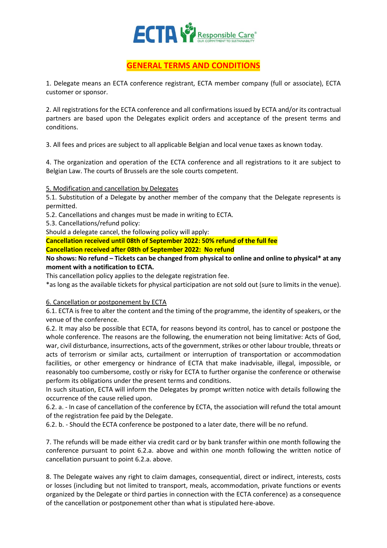

## **GENERAL TERMS AND CONDITIONS**

1. Delegate means an ECTA conference registrant, ECTA member company (full or associate), ECTA customer or sponsor.

2. All registrations for the ECTA conference and all confirmations issued by ECTA and/or its contractual partners are based upon the Delegates explicit orders and acceptance of the present terms and conditions.

3. All fees and prices are subject to all applicable Belgian and local venue taxes as known today.

4. The organization and operation of the ECTA conference and all registrations to it are subject to Belgian Law. The courts of Brussels are the sole courts competent.

5. Modification and cancellation by Delegates

5.1. Substitution of a Delegate by another member of the company that the Delegate represents is permitted.

5.2. Cancellations and changes must be made in writing to ECTA.

5.3. Cancellations/refund policy:

Should a delegate cancel, the following policy will apply:

**Cancellation received until 08th of September 2022: 50% refund of the full fee Cancellation received after 08th of September 2022: No refund**

## **No shows: No refund – Tickets can be changed from physical to online and online to physical\* at any moment with a notification to ECTA.**

This cancellation policy applies to the delegate registration fee.

\*as long as the available tickets for physical participation are not sold out (sure to limits in the venue).

## 6. Cancellation or postponement by ECTA

6.1. ECTA is free to alter the content and the timing of the programme, the identity of speakers, or the venue of the conference.

6.2. It may also be possible that ECTA, for reasons beyond its control, has to cancel or postpone the whole conference. The reasons are the following, the enumeration not being limitative: Acts of God, war, civil disturbance, insurrections, acts of the government, strikes or other labour trouble, threats or acts of terrorism or similar acts, curtailment or interruption of transportation or accommodation facilities, or other emergency or hindrance of ECTA that make inadvisable, illegal, impossible, or reasonably too cumbersome, costly or risky for ECTA to further organise the conference or otherwise perform its obligations under the present terms and conditions.

In such situation, ECTA will inform the Delegates by prompt written notice with details following the occurrence of the cause relied upon.

6.2. a. - In case of cancellation of the conference by ECTA, the association will refund the total amount of the registration fee paid by the Delegate.

6.2. b. - Should the ECTA conference be postponed to a later date, there will be no refund.

7. The refunds will be made either via credit card or by bank transfer within one month following the conference pursuant to point 6.2.a. above and within one month following the written notice of cancellation pursuant to point 6.2.a. above.

8. The Delegate waives any right to claim damages, consequential, direct or indirect, interests, costs or losses (including but not limited to transport, meals, accommodation, private functions or events organized by the Delegate or third parties in connection with the ECTA conference) as a consequence of the cancellation or postponement other than what is stipulated here-above.